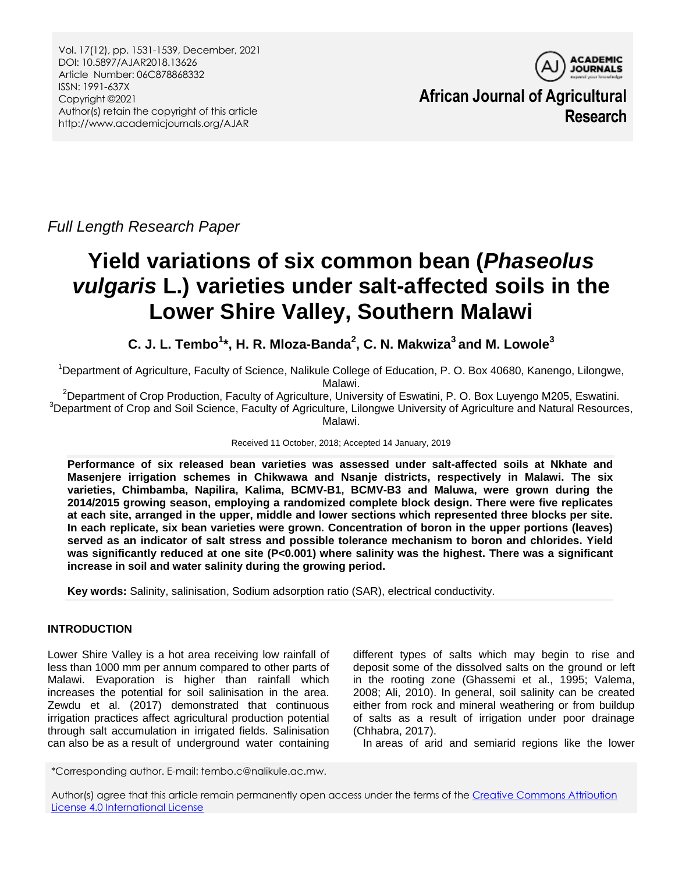Vol. 17(12), pp. 1531-1539, December, 2021 DOI: 10.5897/AJAR2018.13626 Article Number: 06C878868332 ISSN: 1991-637X Copyright ©2021 Author(s) retain the copyright of this article http://www.academicjournals.org/AJAR



**African Journal of Agricultural Research**

*Full Length Research Paper*

# **Yield variations of six common bean (***Phaseolus vulgaris* **L.) varieties under salt-affected soils in the Lower Shire Valley, Southern Malawi**

**C. J. L. Tembo<sup>1</sup> \*, H. R. Mloza-Banda<sup>2</sup> , C. N. Makwiza<sup>3</sup>and M. Lowole<sup>3</sup>**

<sup>1</sup>Department of Agriculture, Faculty of Science, Nalikule College of Education, P. O. Box 40680, Kanengo, Lilongwe, Malawi.

<sup>2</sup>Department of Crop Production, Faculty of Agriculture, University of Eswatini, P. O. Box Luyengo M205, Eswatini.  $3$ Department of Crop and Soil Science, Faculty of Agriculture, Lilongwe University of Agriculture and Natural Resources, Malawi.

Received 11 October, 2018; Accepted 14 January, 2019

**Performance of six released bean varieties was assessed under salt-affected soils at Nkhate and Masenjere irrigation schemes in Chikwawa and Nsanje districts, respectively in Malawi. The six varieties, Chimbamba, Napilira, Kalima, BCMV-B1, BCMV-B3 and Maluwa, were grown during the 2014/2015 growing season, employing a randomized complete block design. There were five replicates at each site, arranged in the upper, middle and lower sections which represented three blocks per site. In each replicate, six bean varieties were grown. Concentration of boron in the upper portions (leaves) served as an indicator of salt stress and possible tolerance mechanism to boron and chlorides. Yield was significantly reduced at one site (P<0.001) where salinity was the highest. There was a significant increase in soil and water salinity during the growing period.**

**Key words:** Salinity, salinisation, Sodium adsorption ratio (SAR), electrical conductivity.

# **INTRODUCTION**

Lower Shire Valley is a hot area receiving low rainfall of less than 1000 mm per annum compared to other parts of Malawi. Evaporation is higher than rainfall which increases the potential for soil salinisation in the area. Zewdu et al. (2017) demonstrated that continuous irrigation practices affect agricultural production potential through salt accumulation in irrigated fields. Salinisation can also be as a result of underground water containing

different types of salts which may begin to rise and deposit some of the dissolved salts on the ground or left in the rooting zone (Ghassemi et al., 1995; Valema, 2008; Ali, 2010). In general, soil salinity can be created either from rock and mineral weathering or from buildup of salts as a result of irrigation under poor drainage (Chhabra, 2017).

In areas of arid and semiarid regions like the lower

\*Corresponding author. E-mail: tembo.c@nalikule.ac.mw.

Author(s) agree that this article remain permanently open access under the terms of th[e Creative Commons Attribution](Creative%20Commons%20Attribution%20License%204.0%20International%20License)  [License 4.0 International License](Creative%20Commons%20Attribution%20License%204.0%20International%20License)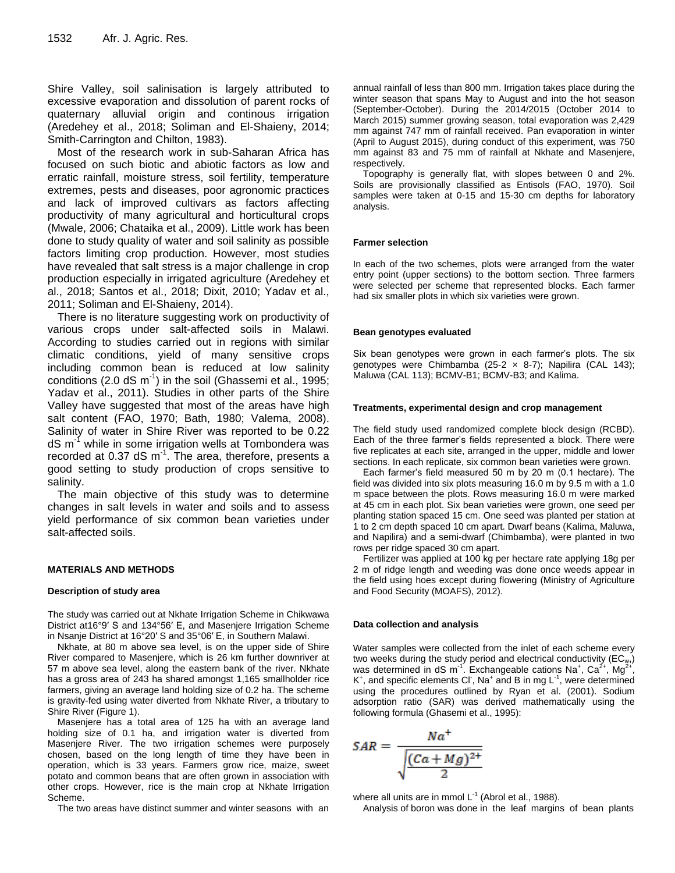Shire Valley, soil salinisation is largely attributed to excessive evaporation and dissolution of parent rocks of quaternary alluvial origin and continous irrigation (Aredehey et al., 2018; Soliman and El-Shaieny, 2014; Smith-Carrington and Chilton, 1983).

Most of the research work in sub-Saharan Africa has focused on such biotic and abiotic factors as low and erratic rainfall, moisture stress, soil fertility, temperature extremes, pests and diseases, poor agronomic practices and lack of improved cultivars as factors affecting productivity of many agricultural and horticultural crops (Mwale, 2006; Chataika et al., 2009). Little work has been done to study quality of water and soil salinity as possible factors limiting crop production. However, most studies have revealed that salt stress is a major challenge in crop production especially in irrigated agriculture (Aredehey et al., 2018; Santos et al., 2018; Dixit, 2010; Yadav et al., 2011; Soliman and El-Shaieny, 2014).

There is no literature suggesting work on productivity of various crops under salt-affected soils in Malawi. According to studies carried out in regions with similar climatic conditions, yield of many sensitive crops including common bean is reduced at low salinity conditions (2.0 dS  $m^{-1}$ ) in the soil (Ghassemi et al., 1995; Yadav et al., 2011). Studies in other parts of the Shire Valley have suggested that most of the areas have high salt content (FAO, 1970; Bath, 1980; Valema, 2008). Salinity of water in Shire River was reported to be 0.22  $dS$  m<sup>-1</sup> while in some irrigation wells at Tombondera was recorded at 0.37 dS  $m^{-1}$ . The area, therefore, presents a good setting to study production of crops sensitive to salinity.

The main objective of this study was to determine changes in salt levels in water and soils and to assess yield performance of six common bean varieties under salt-affected soils.

## **MATERIALS AND METHODS**

## **Description of study area**

The study was carried out at Nkhate Irrigation Scheme in Chikwawa District at16°9′ S and 134°56′ E, and Masenjere Irrigation Scheme in Nsanje District at 16°20′ S and 35°06′ E, in Southern Malawi.

Nkhate, at 80 m above sea level, is on the upper side of Shire River compared to Masenjere, which is 26 km further downriver at 57 m above sea level, along the eastern bank of the river. Nkhate has a gross area of 243 ha shared amongst 1,165 smallholder rice farmers, giving an average land holding size of 0.2 ha. The scheme is gravity-fed using water diverted from Nkhate River, a tributary to Shire River (Figure 1).

Masenjere has a total area of 125 ha with an average land holding size of 0.1 ha, and irrigation water is diverted from Masenjere River. The two irrigation schemes were purposely chosen, based on the long length of time they have been in operation, which is 33 years. Farmers grow rice, maize, sweet potato and common beans that are often grown in association with other crops. However, rice is the main crop at Nkhate Irrigation Scheme.

The two areas have distinct summer and winter seasons with an

annual rainfall of less than 800 mm. Irrigation takes place during the winter season that spans May to August and into the hot season (September-October). During the 2014/2015 (October 2014 to March 2015) summer growing season, total evaporation was 2,429 mm against 747 mm of rainfall received. Pan evaporation in winter (April to August 2015), during conduct of this experiment, was 750 mm against 83 and 75 mm of rainfall at Nkhate and Masenjere, respectively.

Topography is generally flat, with slopes between 0 and 2%. Soils are provisionally classified as Entisols (FAO, 1970). Soil samples were taken at 0-15 and 15-30 cm depths for laboratory analysis.

#### **Farmer selection**

In each of the two schemes, plots were arranged from the water entry point (upper sections) to the bottom section. Three farmers were selected per scheme that represented blocks. Each farmer had six smaller plots in which six varieties were grown.

#### **Bean genotypes evaluated**

Six bean genotypes were grown in each farmer's plots. The six genotypes were Chimbamba (25-2 x 8-7); Napilira (CAL 143); Maluwa (CAL 113); BCMV-B1; BCMV-B3; and Kalima.

#### **Treatments, experimental design and crop management**

The field study used randomized complete block design (RCBD). Each of the three farmer's fields represented a block. There were five replicates at each site, arranged in the upper, middle and lower sections. In each replicate, six common bean varieties were grown.

Each farmer's field measured 50 m by 20 m (0.1 hectare). The field was divided into six plots measuring 16.0 m by 9.5 m with a 1.0 m space between the plots. Rows measuring 16.0 m were marked at 45 cm in each plot. Six bean varieties were grown, one seed per planting station spaced 15 cm. One seed was planted per station at 1 to 2 cm depth spaced 10 cm apart. Dwarf beans (Kalima, Maluwa, and Napilira) and a semi-dwarf (Chimbamba), were planted in two rows per ridge spaced 30 cm apart.

Fertilizer was applied at 100 kg per hectare rate applying 18g per 2 m of ridge length and weeding was done once weeds appear in the field using hoes except during flowering (Ministry of Agriculture and Food Security (MOAFS), 2012).

## **Data collection and analysis**

Water samples were collected from the inlet of each scheme every two weeks during the study period and electrical conductivity ( $EC_{w}$ ,) was determined in dS m<sup>-1</sup>. Exchangeable cations Na<sup>+</sup>, Ca<sup>2+</sup>, Mg<sup>2+</sup> ,  $K^+$ , and specific elements CI, Na<sup>+</sup> and B in mg L<sup>-1</sup>, were determined using the procedures outlined by Ryan et al. (2001). Sodium adsorption ratio (SAR) was derived mathematically using the following formula (Ghasemi et al., 1995):

$$
SAR = \frac{Na^{+}}{\sqrt{\frac{(Ca+Mg)^{2+}}{2}}}
$$

where all units are in mmol  $L^{-1}$  (Abrol et al., 1988).

Analysis of boron was done in the leaf margins of bean plants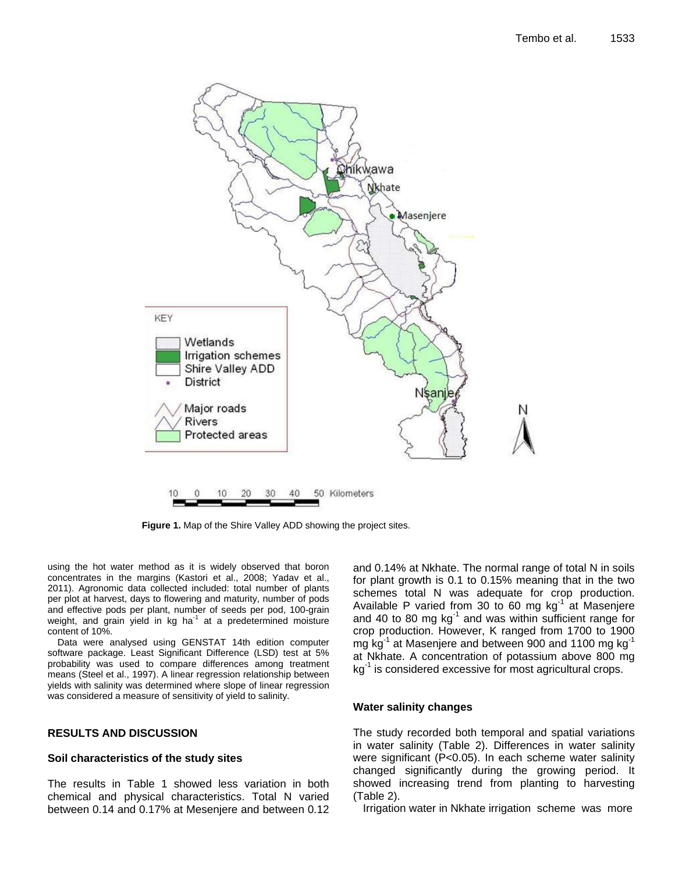

**Figure 1.** Map of the Shire Valley ADD showing the project sites.

using the hot water method as it is widely observed that boron concentrates in the margins (Kastori et al., 2008; Yadav et al., 2011). Agronomic data collected included: total number of plants per plot at harvest, days to flowering and maturity, number of pods and effective pods per plant, number of seeds per pod, 100-grain weight, and grain yield in kg ha<sup>-1</sup> at a predetermined moisture content of 10%.

Data were analysed using GENSTAT 14th edition computer software package. Least Significant Difference (LSD) test at 5% probability was used to compare differences among treatment means (Steel et al., 1997). A linear regression relationship between yields with salinity was determined where slope of linear regression was considered a measure of sensitivity of yield to salinity.

# **RESULTS AND DISCUSSION**

## **Soil characteristics of the study sites**

The results in Table 1 showed less variation in both chemical and physical characteristics. Total N varied between 0.14 and 0.17% at Mesenjere and between 0.12

and 0.14% at Nkhate. The normal range of total N in soils for plant growth is 0.1 to 0.15% meaning that in the two schemes total N was adequate for crop production. Available P varied from 30 to 60 mg  $kg^{-1}$  at Masenjere and 40 to 80 mg  $kg^{-1}$  and was within sufficient range for crop production. However, K ranged from 1700 to 1900 mg kg<sup>-1</sup> at Masenjere and between 900 and 1100 mg kg<sup>-1</sup> at Nkhate. A concentration of potassium above 800 mg kg<sup>-1</sup> is considered excessive for most agricultural crops.

## **Water salinity changes**

The study recorded both temporal and spatial variations in water salinity (Table 2). Differences in water salinity were significant (P<0.05). In each scheme water salinity changed significantly during the growing period. It showed increasing trend from planting to harvesting (Table 2).

Irrigation water in Nkhate irrigation scheme was more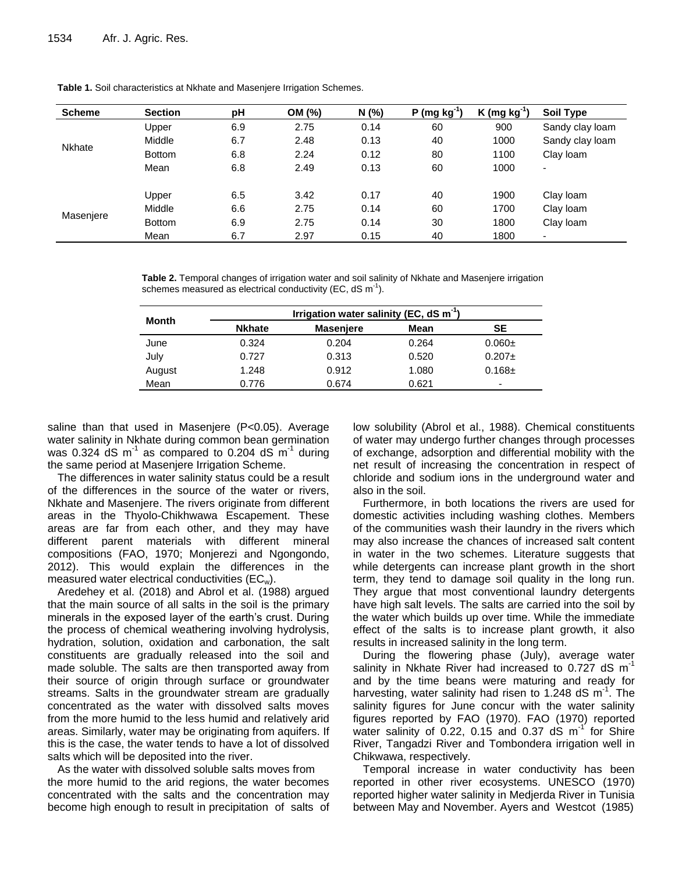| <b>Scheme</b> | <b>Section</b> | рH  | OM (%) | N(%  | $P$ (mg kg <sup>-1</sup> ) | K (mg $kg^{-1}$ ) | Soil Type       |
|---------------|----------------|-----|--------|------|----------------------------|-------------------|-----------------|
|               | Upper          | 6.9 | 2.75   | 0.14 | 60                         | 900               | Sandy clay loam |
| <b>Nkhate</b> | Middle         | 6.7 | 2.48   | 0.13 | 40                         | 1000              | Sandy clay loam |
|               | <b>Bottom</b>  | 6.8 | 2.24   | 0.12 | 80                         | 1100              | Clay loam       |
|               | Mean           | 6.8 | 2.49   | 0.13 | 60                         | 1000              | ۰               |
|               | Upper          | 6.5 | 3.42   | 0.17 | 40                         | 1900              | Clay loam       |
| Masenjere     | Middle         | 6.6 | 2.75   | 0.14 | 60                         | 1700              | Clay Ioam       |
|               | <b>Bottom</b>  | 6.9 | 2.75   | 0.14 | 30                         | 1800              | Clay Ioam       |
|               | Mean           | 6.7 | 2.97   | 0.15 | 40                         | 1800              | ۰               |

**Table 1.** Soil characteristics at Nkhate and Masenjere Irrigation Schemes.

**Table 2.** Temporal changes of irrigation water and soil salinity of Nkhate and Masenjere irrigation schemes measured as electrical conductivity (EC, dS m<sup>-1</sup>).

|        |               | Irrigation water salinity (EC, $dS \, m^{-1}$ ) |       |                          |
|--------|---------------|-------------------------------------------------|-------|--------------------------|
| Month  | <b>Nkhate</b> | <b>Masenjere</b>                                | Mean  | SE                       |
| June   | 0.324         | 0.204                                           | 0.264 | $0.060 \pm$              |
| July   | 0.727         | 0.313                                           | 0.520 | $0.207 \pm$              |
| August | 1.248         | 0.912                                           | 1.080 | $0.168 \pm$              |
| Mean   | 0.776         | 0.674                                           | 0.621 | $\overline{\phantom{0}}$ |

saline than that used in Masenjere (P<0.05). Average water salinity in Nkhate during common bean germination was 0.324 dS m<sup>-1</sup> as compared to 0.204 dS m<sup>-1</sup> during the same period at Masenjere Irrigation Scheme.

The differences in water salinity status could be a result of the differences in the source of the water or rivers, Nkhate and Masenjere. The rivers originate from different areas in the Thyolo-Chikhwawa Escapement. These areas are far from each other, and they may have different parent materials with different mineral compositions (FAO, 1970; Monjerezi and Ngongondo, 2012). This would explain the differences in the measured water electrical conductivities (ECw).

Aredehey et al. (2018) and Abrol et al. (1988) argued that the main source of all salts in the soil is the primary minerals in the exposed layer of the earth's crust. During the process of chemical weathering involving hydrolysis, hydration, solution, oxidation and carbonation, the salt constituents are gradually released into the soil and made soluble. The salts are then transported away from their source of origin through surface or groundwater streams. Salts in the groundwater stream are gradually concentrated as the water with dissolved salts moves from the more humid to the less humid and relatively arid areas. Similarly, water may be originating from aquifers. If this is the case, the water tends to have a lot of dissolved salts which will be deposited into the river.

As the water with dissolved soluble salts moves from the more humid to the arid regions, the water becomes concentrated with the salts and the concentration may become high enough to result in precipitation of salts of low solubility (Abrol et al., 1988). Chemical constituents of water may undergo further changes through processes of exchange, adsorption and differential mobility with the net result of increasing the concentration in respect of chloride and sodium ions in the underground water and also in the soil.

Furthermore, in both locations the rivers are used for domestic activities including washing clothes. Members of the communities wash their laundry in the rivers which may also increase the chances of increased salt content in water in the two schemes. Literature suggests that while detergents can increase plant growth in the short term, they tend to damage soil quality in the long run. They argue that most conventional laundry detergents have high salt levels. The salts are carried into the soil by the water which builds up over time. While the immediate effect of the salts is to increase plant growth, it also results in increased salinity in the long term.

During the flowering phase (July), average water salinity in Nkhate River had increased to 0.727 dS  $m^{-1}$ and by the time beans were maturing and ready for harvesting, water salinity had risen to 1.248 dS  $m<sup>-1</sup>$ . The salinity figures for June concur with the water salinity figures reported by FAO (1970). FAO (1970) reported water salinity of  $0.22$ ,  $0.15$  and  $0.37$  dS m<sup>-1</sup> for Shire River, Tangadzi River and Tombondera irrigation well in Chikwawa, respectively.

Temporal increase in water conductivity has been reported in other river ecosystems. UNESCO (1970) reported higher water salinity in Medjerda River in Tunisia between May and November. Ayers and Westcot (1985)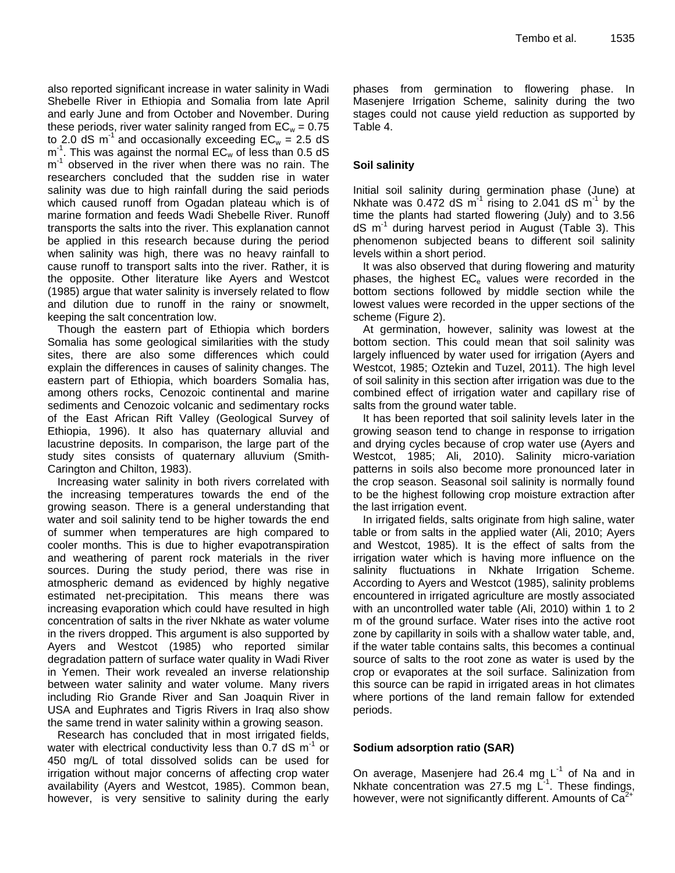also reported significant increase in water salinity in Wadi Shebelle River in Ethiopia and Somalia from late April and early June and from October and November. During these periods, river water salinity ranged from  $EC_w = 0.75$ to 2.0 dS  $m^{-1}$  and occasionally exceeding  $EC_w = 2.5$  dS  $m<sup>-1</sup>$ . This was against the normal EC<sub>w</sub> of less than 0.5 dS m<sup>1</sup> observed in the river when there was no rain. The researchers concluded that the sudden rise in water salinity was due to high rainfall during the said periods which caused runoff from Ogadan plateau which is of marine formation and feeds Wadi Shebelle River. Runoff transports the salts into the river. This explanation cannot be applied in this research because during the period when salinity was high, there was no heavy rainfall to cause runoff to transport salts into the river. Rather, it is the opposite. Other literature like Ayers and Westcot (1985) argue that water salinity is inversely related to flow and dilution due to runoff in the rainy or snowmelt, keeping the salt concentration low.

Though the eastern part of Ethiopia which borders Somalia has some geological similarities with the study sites, there are also some differences which could explain the differences in causes of salinity changes. The eastern part of Ethiopia, which boarders Somalia has, among others rocks, Cenozoic continental and marine sediments and Cenozoic volcanic and sedimentary rocks of the East African Rift Valley (Geological Survey of Ethiopia, 1996). It also has quaternary alluvial and lacustrine deposits. In comparison, the large part of the study sites consists of quaternary alluvium (Smith-Carington and Chilton, 1983).

Increasing water salinity in both rivers correlated with the increasing temperatures towards the end of the growing season. There is a general understanding that water and soil salinity tend to be higher towards the end of summer when temperatures are high compared to cooler months. This is due to higher evapotranspiration and weathering of parent rock materials in the river sources. During the study period, there was rise in atmospheric demand as evidenced by highly negative estimated net-precipitation. This means there was increasing evaporation which could have resulted in high concentration of salts in the river Nkhate as water volume in the rivers dropped. This argument is also supported by Ayers and Westcot (1985) who reported similar degradation pattern of surface water quality in Wadi River in Yemen. Their work revealed an inverse relationship between water salinity and water volume. Many rivers including Rio Grande River and San Joaquin River in USA and Euphrates and Tigris Rivers in Iraq also show the same trend in water salinity within a growing season.

Research has concluded that in most irrigated fields, water with electrical conductivity less than  $0.7$  dS m<sup>-1</sup> or 450 mg/L of total dissolved solids can be used for irrigation without major concerns of affecting crop water availability (Ayers and Westcot, 1985). Common bean, however, is very sensitive to salinity during the early

phases from germination to flowering phase. In Masenjere Irrigation Scheme, salinity during the two stages could not cause yield reduction as supported by Table 4.

# **Soil salinity**

Initial soil salinity during germination phase (June) at Nkhate was  $0.472$  dS  $m^{-1}$  rising to 2.041 dS  $m^{-1}$  by the time the plants had started flowering (July) and to 3.56 dS m-1 during harvest period in August (Table 3). This phenomenon subjected beans to different soil salinity levels within a short period.

It was also observed that during flowering and maturity phases, the highest  $EC_e$  values were recorded in the bottom sections followed by middle section while the lowest values were recorded in the upper sections of the scheme (Figure 2).

At germination, however, salinity was lowest at the bottom section. This could mean that soil salinity was largely influenced by water used for irrigation (Ayers and Westcot, 1985; Oztekin and Tuzel, 2011). The high level of soil salinity in this section after irrigation was due to the combined effect of irrigation water and capillary rise of salts from the ground water table.

It has been reported that soil salinity levels later in the growing season tend to change in response to irrigation and drying cycles because of crop water use (Ayers and Westcot, 1985; Ali, 2010). Salinity micro-variation patterns in soils also become more pronounced later in the crop season. Seasonal soil salinity is normally found to be the highest following crop moisture extraction after the last irrigation event.

In irrigated fields, salts originate from high saline, water table or from salts in the applied water (Ali, 2010; Ayers and Westcot, 1985). It is the effect of salts from the irrigation water which is having more influence on the salinity fluctuations in Nkhate Irrigation Scheme. According to Ayers and Westcot (1985), salinity problems encountered in irrigated agriculture are mostly associated with an uncontrolled water table (Ali, 2010) within 1 to 2 m of the ground surface. Water rises into the active root zone by capillarity in soils with a shallow water table, and, if the water table contains salts, this becomes a continual source of salts to the root zone as water is used by the crop or evaporates at the soil surface. Salinization from this source can be rapid in irrigated areas in hot climates where portions of the land remain fallow for extended periods.

# **Sodium adsorption ratio (SAR)**

On average, Masenjere had 26.4 mg  $L^{-1}$  of Na and in Nkhate concentration was 27.5 mg  $L^{-1}$ . These findings, however, were not significantly different. Amounts of  $Ca<sup>2</sup>$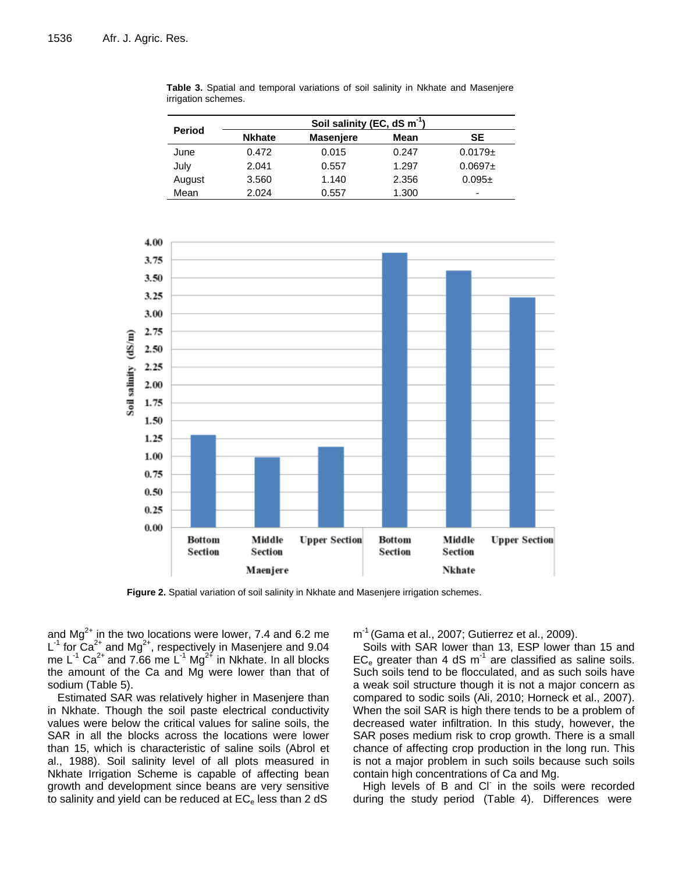|        |               | Soil salinity (EC, dS m <sup>-1</sup> ) |       |              |
|--------|---------------|-----------------------------------------|-------|--------------|
| Period | <b>Nkhate</b> | <b>Masenjere</b>                        | Mean  | SE           |
| June   | 0.472         | 0.015                                   | 0.247 | $0.0179 \pm$ |
| July   | 2.041         | 0.557                                   | 1.297 | $0.0697 +$   |
| August | 3.560         | 1.140                                   | 2.356 | $0.095\pm$   |
| Mean   | 2.024         | 0.557                                   | 1.300 | -            |

**Table 3.** Spatial and temporal variations of soil salinity in Nkhate and Masenjere irrigation schemes.



**Figure 2.** Spatial variation of soil salinity in Nkhate and Masenjere irrigation schemes.

and  $Mg^{2+}$  in the two locations were lower, 7.4 and 6.2 me L<sup>-1</sup> for  $Ca^{2+}$  and Mg<sup>2+</sup>, respectively in Masenjere and 9.04 me L<sup>-1</sup> Ca<sup>2+</sup> and 7.66 me L<sup>-1</sup> Mg<sup>2+</sup> in Nkhate. In all blocks the amount of the Ca and Mg were lower than that of sodium (Table 5).

Estimated SAR was relatively higher in Masenjere than in Nkhate. Though the soil paste electrical conductivity values were below the critical values for saline soils, the SAR in all the blocks across the locations were lower than 15, which is characteristic of saline soils (Abrol et al., 1988). Soil salinity level of all plots measured in Nkhate Irrigation Scheme is capable of affecting bean growth and development since beans are very sensitive to salinity and yield can be reduced at  $EC<sub>e</sub>$  less than 2 dS

m<sup>-1</sup> (Gama et al., 2007; Gutierrez et al., 2009).

Soils with SAR lower than 13, ESP lower than 15 and  $EC_e$  greater than 4 dS m<sup>-1</sup> are classified as saline soils. Such soils tend to be flocculated, and as such soils have a weak soil structure though it is not a major concern as compared to sodic soils (Ali, 2010; Horneck et al., 2007). When the soil SAR is high there tends to be a problem of decreased water infiltration. In this study, however, the SAR poses medium risk to crop growth. There is a small chance of affecting crop production in the long run. This is not a major problem in such soils because such soils contain high concentrations of Ca and Mg.

High levels of B and CI in the soils were recorded during the study period (Table 4). Differences were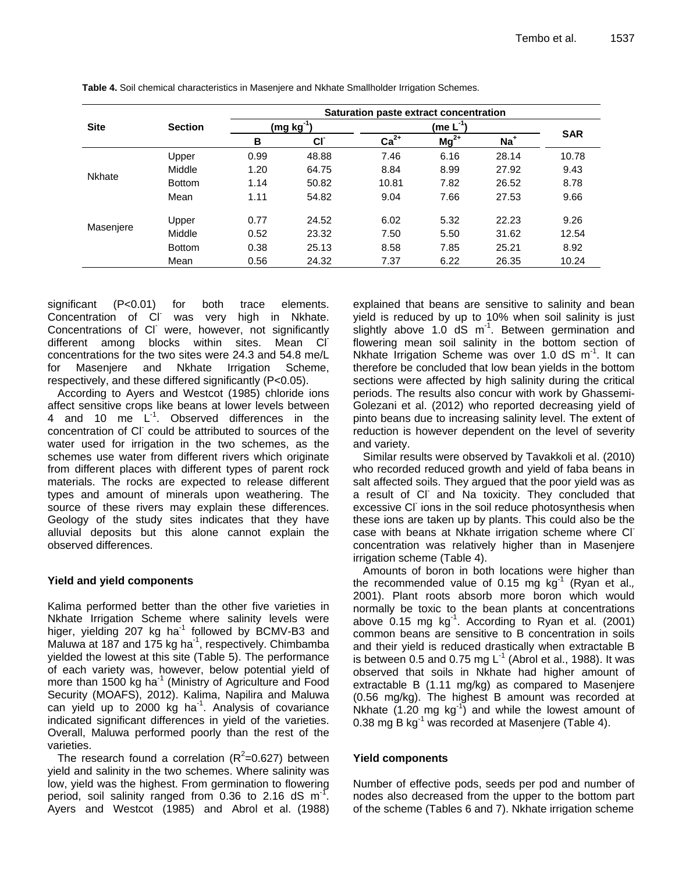|               | <b>Section</b> | Saturation paste extract concentration |           |                       |           |       |            |  |
|---------------|----------------|----------------------------------------|-----------|-----------------------|-----------|-------|------------|--|
| <b>Site</b>   |                | (mg kg <sup>-1</sup> )                 |           | (me L <sup>-1</sup> ) |           |       |            |  |
|               |                | B                                      | <b>CI</b> | $Ca2+$                | $Mg^{2+}$ | $Na+$ | <b>SAR</b> |  |
|               | Upper          | 0.99                                   | 48.88     | 7.46                  | 6.16      | 28.14 | 10.78      |  |
|               | Middle         | 1.20                                   | 64.75     | 8.84                  | 8.99      | 27.92 | 9.43       |  |
| <b>Nkhate</b> | <b>Bottom</b>  | 1.14                                   | 50.82     | 10.81                 | 7.82      | 26.52 | 8.78       |  |
|               | Mean           | 1.11                                   | 54.82     | 9.04                  | 7.66      | 27.53 | 9.66       |  |
|               | Upper          | 0.77                                   | 24.52     | 6.02                  | 5.32      | 22.23 | 9.26       |  |
| Masenjere     | Middle         | 0.52                                   | 23.32     | 7.50                  | 5.50      | 31.62 | 12.54      |  |
|               | <b>Bottom</b>  | 0.38                                   | 25.13     | 8.58                  | 7.85      | 25.21 | 8.92       |  |
|               | Mean           | 0.56                                   | 24.32     | 7.37                  | 6.22      | 26.35 | 10.24      |  |

**Table 4.** Soil chemical characteristics in Masenjere and Nkhate Smallholder Irrigation Schemes.

significant (P<0.01) for both trace elements. Concentration of CI was very high in Nkhate. Concentrations of CI were, however, not significantly different among blocks within sites. Mean Clconcentrations for the two sites were 24.3 and 54.8 me/L for Masenjere and Nkhate Irrigation Scheme, respectively, and these differed significantly (P<0.05).

According to Ayers and Westcot (1985) chloride ions affect sensitive crops like beans at lower levels between 4 and 10 me  $L^{-1}$ . Observed differences in the concentration of CI could be attributed to sources of the water used for irrigation in the two schemes, as the schemes use water from different rivers which originate from different places with different types of parent rock materials. The rocks are expected to release different types and amount of minerals upon weathering. The source of these rivers may explain these differences. Geology of the study sites indicates that they have alluvial deposits but this alone cannot explain the observed differences.

# **Yield and yield components**

Kalima performed better than the other five varieties in Nkhate Irrigation Scheme where salinity levels were higer, yielding 207 kg ha<sup>-1</sup> followed by  $\overline{BCMV-B3}$  and Maluwa at 187 and 175 kg ha $^{-1}$ , respectively. Chimbamba yielded the lowest at this site (Table 5). The performance of each variety was, however, below potential yield of more than 1500 kg ha $^{-1}$  (Ministry of Agriculture and Food Security (MOAFS), 2012). Kalima, Napilira and Maluwa can yield up to 2000 kg ha<sup>-1</sup>. Analysis of covariance indicated significant differences in yield of the varieties. Overall, Maluwa performed poorly than the rest of the varieties.

The research found a correlation ( $R^2$ =0.627) between yield and salinity in the two schemes. Where salinity was low, yield was the highest. From germination to flowering period, soil salinity ranged from 0.36 to 2.16 dS  $m<sup>-1</sup>$ . Ayers and Westcot (1985) and Abrol et al. (1988)

explained that beans are sensitive to salinity and bean yield is reduced by up to 10% when soil salinity is just slightly above 1.0  $dS$  m<sup>-1</sup>. Between germination and flowering mean soil salinity in the bottom section of Nkhate Irrigation Scheme was over 1.0 dS m<sup>-1</sup>. It can therefore be concluded that low bean yields in the bottom sections were affected by high salinity during the critical periods. The results also concur with work by Ghassemi-Golezani et al. (2012) who reported decreasing yield of pinto beans due to increasing salinity level. The extent of reduction is however dependent on the level of severity and variety.

Similar results were observed by Tavakkoli et al. (2010) who recorded reduced growth and yield of faba beans in salt affected soils. They argued that the poor yield was as a result of CI and Na toxicity. They concluded that excessive CI ions in the soil reduce photosynthesis when these ions are taken up by plants. This could also be the case with beans at Nkhate irrigation scheme where CI<sup>-</sup> concentration was relatively higher than in Masenjere irrigation scheme (Table 4).

Amounts of boron in both locations were higher than the recommended value of 0.15 mg kg-1 (Ryan et al.*,*  2001). Plant roots absorb more boron which would normally be toxic to the bean plants at concentrations above  $0.15$  mg kg<sup>-1</sup>. According to Ryan et al. (2001) common beans are sensitive to B concentration in soils and their yield is reduced drastically when extractable B is between 0.5 and 0.75 mg  $L^{-1}$  (Abrol et al., 1988). It was observed that soils in Nkhate had higher amount of extractable B (1.11 mg/kg) as compared to Masenjere (0.56 mg/kg). The highest B amount was recorded at Nkhate  $(1.20 \text{ mg kg}^{-1})$  and while the lowest amount of 0.38 mg B  $kg^{-1}$  was recorded at Masenjere (Table 4).

# **Yield components**

Number of effective pods, seeds per pod and number of nodes also decreased from the upper to the bottom part of the scheme (Tables 6 and 7). Nkhate irrigation scheme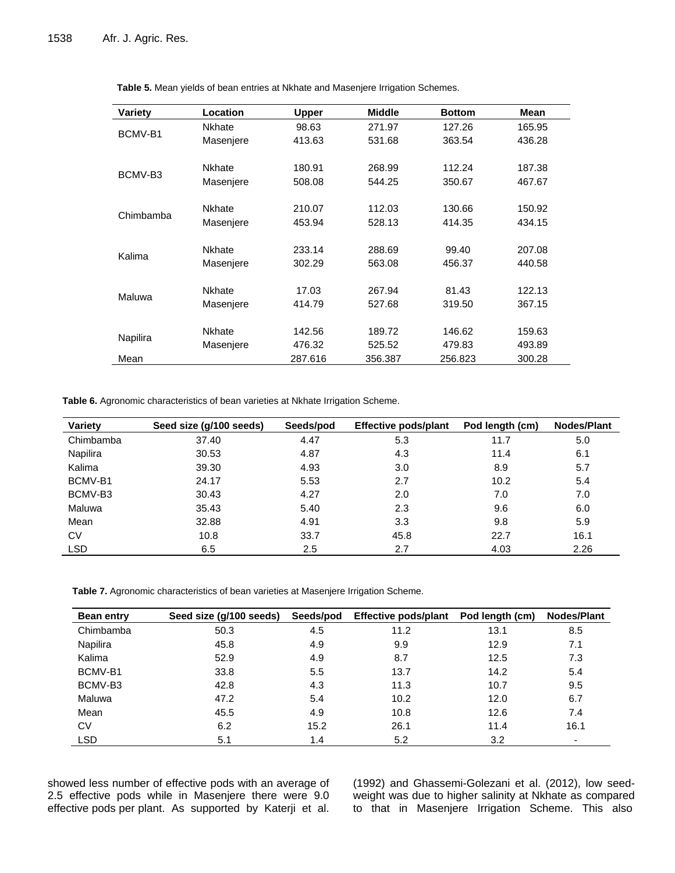| Variety   | Location      | <b>Upper</b> | <b>Middle</b> | <b>Bottom</b> | Mean   |
|-----------|---------------|--------------|---------------|---------------|--------|
| BCMV-B1   | <b>Nkhate</b> | 98.63        | 271.97        | 127.26        | 165.95 |
|           | Masenjere     | 413.63       | 531.68        | 363.54        | 436.28 |
|           |               |              |               |               |        |
| BCMV-B3   | <b>Nkhate</b> | 180.91       | 268.99        | 112.24        | 187.38 |
|           | Masenjere     | 508.08       | 544.25        | 350.67        | 467.67 |
|           |               |              |               |               |        |
| Chimbamba | <b>Nkhate</b> | 210.07       | 112.03        | 130.66        | 150.92 |
|           | Masenjere     | 453.94       | 528.13        | 414.35        | 434.15 |
|           |               |              |               |               |        |
| Kalima    | <b>Nkhate</b> | 233.14       | 288.69        | 99.40         | 207.08 |
|           | Masenjere     | 302.29       | 563.08        | 456.37        | 440.58 |
|           |               |              |               |               |        |
| Maluwa    | <b>Nkhate</b> | 17.03        | 267.94        | 81.43         | 122.13 |
|           | Masenjere     | 414.79       | 527.68        | 319.50        | 367.15 |
|           |               |              |               |               |        |
|           | <b>Nkhate</b> | 142.56       | 189.72        | 146.62        | 159.63 |
| Napilira  | Masenjere     | 476.32       | 525.52        | 479.83        | 493.89 |
| Mean      |               | 287.616      | 356.387       | 256.823       | 300.28 |

**Table 5.** Mean yields of bean entries at Nkhate and Masenjere Irrigation Schemes.

**Table 6.** Agronomic characteristics of bean varieties at Nkhate Irrigation Scheme.

| Variety    | Seed size (g/100 seeds) | Seeds/pod | <b>Effective pods/plant</b> | Pod length (cm) | <b>Nodes/Plant</b> |
|------------|-------------------------|-----------|-----------------------------|-----------------|--------------------|
| Chimbamba  | 37.40                   | 4.47      | 5.3                         | 11.7            | 5.0                |
| Napilira   | 30.53                   | 4.87      | 4.3                         | 11.4            | 6.1                |
| Kalima     | 39.30                   | 4.93      | 3.0                         | 8.9             | 5.7                |
| BCMV-B1    | 24.17                   | 5.53      | 2.7                         | 10.2            | 5.4                |
| BCMV-B3    | 30.43                   | 4.27      | 2.0                         | 7.0             | 7.0                |
| Maluwa     | 35.43                   | 5.40      | 2.3                         | 9.6             | 6.0                |
| Mean       | 32.88                   | 4.91      | 3.3                         | 9.8             | 5.9                |
| CV         | 10.8                    | 33.7      | 45.8                        | 22.7            | 16.1               |
| <b>LSD</b> | 6.5                     | 2.5       | 2.7                         | 4.03            | 2.26               |

**Table 7.** Agronomic characteristics of bean varieties at Masenjere Irrigation Scheme.

| <b>Bean entry</b> | Seed size (g/100 seeds) | Seeds/pod | <b>Effective pods/plant</b> | Pod length (cm) | <b>Nodes/Plant</b> |
|-------------------|-------------------------|-----------|-----------------------------|-----------------|--------------------|
| Chimbamba         | 50.3                    | 4.5       | 11.2                        | 13.1            | 8.5                |
| Napilira          | 45.8                    | 4.9       | 9.9                         | 12.9            | 7.1                |
| Kalima            | 52.9                    | 4.9       | 8.7                         | 12.5            | 7.3                |
| BCMV-B1           | 33.8                    | 5.5       | 13.7                        | 14.2            | 5.4                |
| BCMV-B3           | 42.8                    | 4.3       | 11.3                        | 10.7            | 9.5                |
| Maluwa            | 47.2                    | 5.4       | 10.2                        | 12.0            | 6.7                |
| Mean              | 45.5                    | 4.9       | 10.8                        | 12.6            | 7.4                |
| CV                | 6.2                     | 15.2      | 26.1                        | 11.4            | 16.1               |
| <b>LSD</b>        | 5.1                     | 1.4       | 5.2                         | 3.2             | ۰                  |

showed less number of effective pods with an average of 2.5 effective pods while in Masenjere there were 9.0 effective pods per plant. As supported by Katerji et al. (1992) and Ghassemi-Golezani et al. (2012), low seedweight was due to higher salinity at Nkhate as compared to that in Masenjere Irrigation Scheme. This also